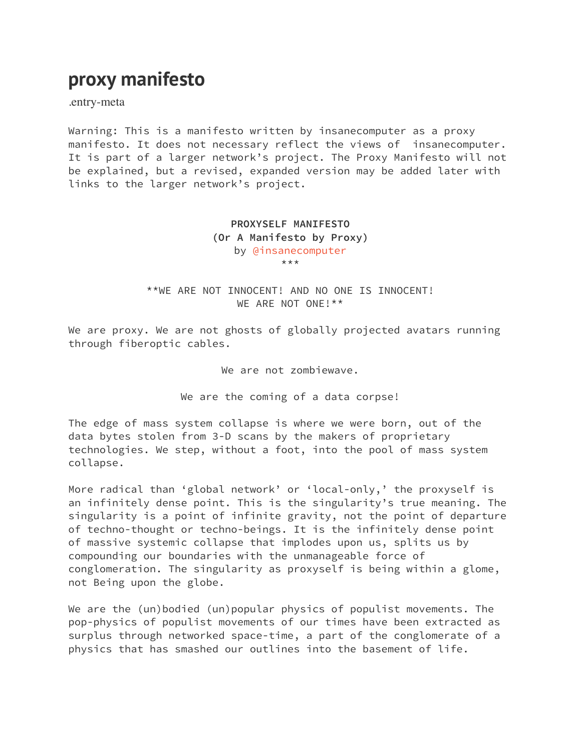## **proxy manifesto**

.entry-meta

Warning: This is a manifesto written by insanecomputer as a proxy manifesto. It does not necessary reflect the views of insanecomputer. It is part of a larger network's project. The Proxy Manifesto will not be explained, but a revised, expanded version may be added later with links to the larger network's project.

> **PROXYSELF MANIFESTO (Or A Manifesto by Proxy)**  by [@insanecomputer](https://paracode.wordpress.com/mentions/insanecomputer/) \*\*\*

\*\*WE ARE NOT INNOCENT! AND NO ONE IS INNOCENT! WE ARE NOT ONE!\*\*

We are proxy. We are not ghosts of globally projected avatars running through fiberoptic cables.

We are not zombiewave.

We are the coming of a data corpse!

The edge of mass system collapse is where we were born, out of the data bytes stolen from 3-D scans by the makers of proprietary technologies. We step, without a foot, into the pool of mass system collapse.

More radical than 'global network' or 'local-only,' the proxyself is an infinitely dense point. This is the singularity's true meaning. The singularity is a point of infinite gravity, not the point of departure of techno-thought or techno-beings. It is the infinitely dense point of massive systemic collapse that implodes upon us, splits us by compounding our boundaries with the unmanageable force of conglomeration. The singularity as proxyself is being within a glome, not Being upon the globe.

We are the (un)bodied (un)popular physics of populist movements. The pop-physics of populist movements of our times have been extracted as surplus through networked space-time, a part of the conglomerate of a physics that has smashed our outlines into the basement of life.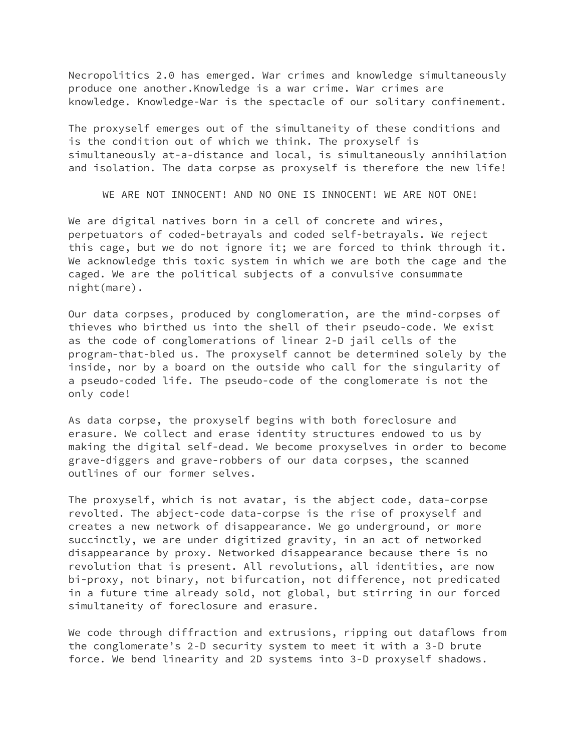Necropolitics 2.0 has emerged. War crimes and knowledge simultaneously produce one another.Knowledge is a war crime. War crimes are knowledge. Knowledge-War is the spectacle of our solitary confinement.

The proxyself emerges out of the simultaneity of these conditions and is the condition out of which we think. The proxyself is simultaneously at-a-distance and local, is simultaneously annihilation and isolation. The data corpse as proxyself is therefore the new life!

WE ARE NOT INNOCENT! AND NO ONE IS INNOCENT! WE ARE NOT ONE!

We are digital natives born in a cell of concrete and wires, perpetuators of coded-betrayals and coded self-betrayals. We reject this cage, but we do not ignore it; we are forced to think through it. We acknowledge this toxic system in which we are both the cage and the caged. We are the political subjects of a convulsive consummate night(mare).

Our data corpses, produced by conglomeration, are the mind-corpses of thieves who birthed us into the shell of their pseudo-code. We exist as the code of conglomerations of linear 2-D jail cells of the program-that-bled us. The proxyself cannot be determined solely by the inside, nor by a board on the outside who call for the singularity of a pseudo-coded life. The pseudo-code of the conglomerate is not the only code!

As data corpse, the proxyself begins with both foreclosure and erasure. We collect and erase identity structures endowed to us by making the digital self-dead. We become proxyselves in order to become grave-diggers and grave-robbers of our data corpses, the scanned outlines of our former selves.

The proxyself, which is not avatar, is the abject code, data-corpse revolted. The abject-code data-corpse is the rise of proxyself and creates a new network of disappearance. We go underground, or more succinctly, we are under digitized gravity, in an act of networked disappearance by proxy. Networked disappearance because there is no revolution that is present. All revolutions, all identities, are now bi-proxy, not binary, not bifurcation, not difference, not predicated in a future time already sold, not global, but stirring in our forced simultaneity of foreclosure and erasure.

We code through diffraction and extrusions, ripping out dataflows from the conglomerate's 2-D security system to meet it with a 3-D brute force. We bend linearity and 2D systems into 3-D proxyself shadows.